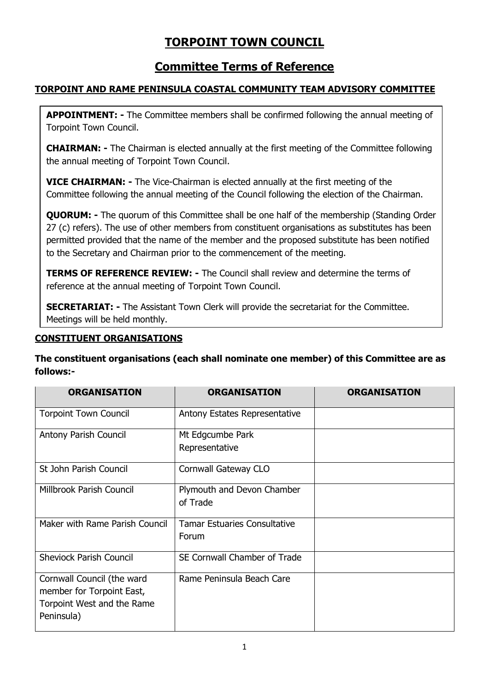# **TORPOINT TOWN COUNCIL**

## **Committee Terms of Reference**

## **TORPOINT AND RAME PENINSULA COASTAL COMMUNITY TEAM ADVISORY COMMITTEE**

**APPOINTMENT: -** The Committee members shall be confirmed following the annual meeting of Torpoint Town Council.

**CHAIRMAN: -** The Chairman is elected annually at the first meeting of the Committee following the annual meeting of Torpoint Town Council.

**VICE CHAIRMAN: -** The Vice-Chairman is elected annually at the first meeting of the Committee following the annual meeting of the Council following the election of the Chairman.

**QUORUM:** - The quorum of this Committee shall be one half of the membership (Standing Order 27 (c) refers). The use of other members from constituent organisations as substitutes has been permitted provided that the name of the member and the proposed substitute has been notified to the Secretary and Chairman prior to the commencement of the meeting.

**TERMS OF REFERENCE REVIEW: -** The Council shall review and determine the terms of reference at the annual meeting of Torpoint Town Council.

**SECRETARIAT: -** The Assistant Town Clerk will provide the secretariat for the Committee. Meetings will be held monthly.

## **CONSTITUENT ORGANISATIONS**

**The constituent organisations (each shall nominate one member) of this Committee are as follows:-**

| <b>ORGANISATION</b>                                                                                 | <b>ORGANISATION</b>                    | <b>ORGANISATION</b> |
|-----------------------------------------------------------------------------------------------------|----------------------------------------|---------------------|
| <b>Torpoint Town Council</b>                                                                        | Antony Estates Representative          |                     |
| Antony Parish Council                                                                               | Mt Edgcumbe Park<br>Representative     |                     |
| St John Parish Council                                                                              | Cornwall Gateway CLO                   |                     |
| Millbrook Parish Council                                                                            | Plymouth and Devon Chamber<br>of Trade |                     |
| Maker with Rame Parish Council                                                                      | Tamar Estuaries Consultative<br>Forum  |                     |
| <b>Sheviock Parish Council</b>                                                                      | SE Cornwall Chamber of Trade           |                     |
| Cornwall Council (the ward<br>member for Torpoint East,<br>Torpoint West and the Rame<br>Peninsula) | Rame Peninsula Beach Care              |                     |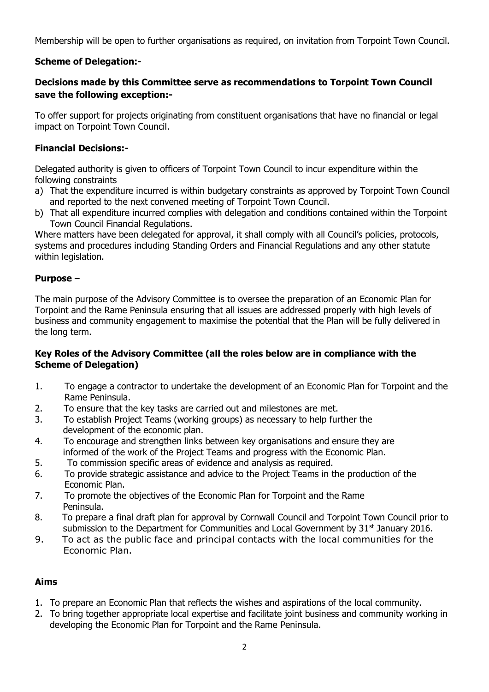Membership will be open to further organisations as required, on invitation from Torpoint Town Council.

## **Scheme of Delegation:-**

## **Decisions made by this Committee serve as recommendations to Torpoint Town Council save the following exception:-**

To offer support for projects originating from constituent organisations that have no financial or legal impact on Torpoint Town Council.

#### **Financial Decisions:-**

Delegated authority is given to officers of Torpoint Town Council to incur expenditure within the following constraints

- a) That the expenditure incurred is within budgetary constraints as approved by Torpoint Town Council and reported to the next convened meeting of Torpoint Town Council.
- b) That all expenditure incurred complies with delegation and conditions contained within the Torpoint Town Council Financial Regulations.

Where matters have been delegated for approval, it shall comply with all Council's policies, protocols, systems and procedures including Standing Orders and Financial Regulations and any other statute within legislation.

#### **Purpose** –

The main purpose of the Advisory Committee is to oversee the preparation of an Economic Plan for Torpoint and the Rame Peninsula ensuring that all issues are addressed properly with high levels of business and community engagement to maximise the potential that the Plan will be fully delivered in the long term.

#### **Key Roles of the Advisory Committee (all the roles below are in compliance with the Scheme of Delegation)**

- 1. To engage a contractor to undertake the development of an Economic Plan for Torpoint and the Rame Peninsula.
- 2. To ensure that the key tasks are carried out and milestones are met.
- 3. To establish Project Teams (working groups) as necessary to help further the development of the economic plan.
- 4. To encourage and strengthen links between key organisations and ensure they are informed of the work of the Project Teams and progress with the Economic Plan.
- 5. To commission specific areas of evidence and analysis as required.
- 6. To provide strategic assistance and advice to the Project Teams in the production of the Economic Plan.
- 7. To promote the objectives of the Economic Plan for Torpoint and the Rame Peninsula.
- 8. To prepare a final draft plan for approval by Cornwall Council and Torpoint Town Council prior to submission to the Department for Communities and Local Government by  $31<sup>st</sup>$  January 2016.
- 9. To act as the public face and principal contacts with the local communities for the Economic Plan.

## **Aims**

- 1. To prepare an Economic Plan that reflects the wishes and aspirations of the local community.
- 2. To bring together appropriate local expertise and facilitate joint business and community working in developing the Economic Plan for Torpoint and the Rame Peninsula.